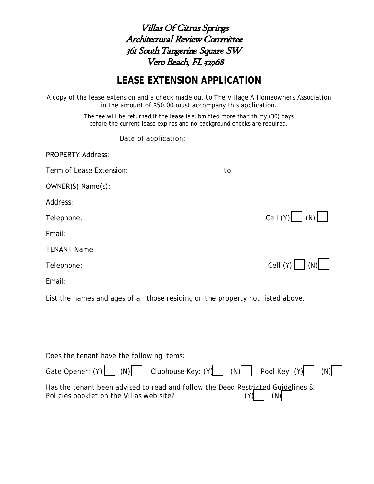Villas Of Citrus Springs Architectural Review Committee 361 SouthTangerine Square SW Vero Beach, FL 32968

## **LEASE EXTENSION APPLICATION**

A copy of the lease extension and a check made out to *The Village A Homeowners Association*  in the amount of \$50.00 must accompany this application.

> The fee will be returned if the lease is submitted more than thirty (30) days before the current lease expires and no background checks are required.

> > Date of application:

| <b>PROPERTY Address:</b>                                                        |                                                  |
|---------------------------------------------------------------------------------|--------------------------------------------------|
| Term of Lease Extension:                                                        | to                                               |
| OWNER(S) Name(s):                                                               |                                                  |
| Address:                                                                        |                                                  |
| Telephone:                                                                      | Cell $(Y)$ $\begin{bmatrix} \end{bmatrix}$ $(N)$ |
| Email:                                                                          |                                                  |
| <b>TENANT Name:</b>                                                             |                                                  |
| Telephone:                                                                      | Cell $(Y)$<br>(N)                                |
| Email:                                                                          |                                                  |
| List the names and ages of all those residing on the property not listed above. |                                                  |
|                                                                                 |                                                  |
|                                                                                 |                                                  |
|                                                                                 |                                                  |
| Does the tenant have the following items:                                       |                                                  |
| Gate Opener: (Y)<br>Clubhouse Key: (Y)<br>(N)                                   | (N)<br>Pool Key: (Y)<br>(N)                      |

| Has the tenant been advised to read and follow the Deed Restricted Guidelines & |  |             |  |
|---------------------------------------------------------------------------------|--|-------------|--|
| Policies booklet on the Villas web site?                                        |  | $(Y)$ $(N)$ |  |